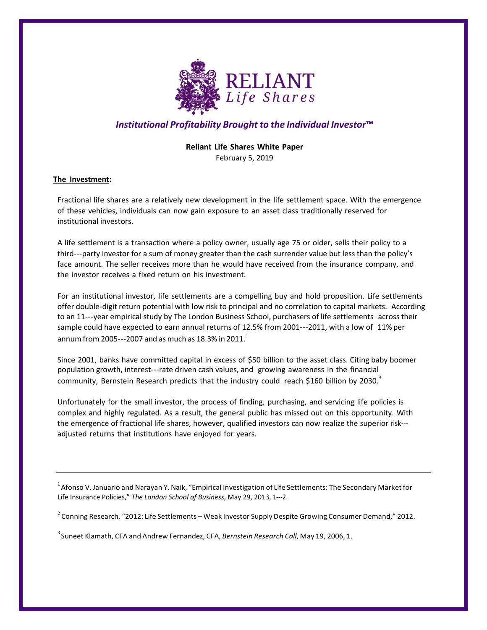

# *Institutional Profitability Brought to the Individual Investor***™**

# **Reliant Life Shares White Paper** February 5, 2019

**The Investment:**

Fractional life shares are a relatively new development in the life settlement space. With the emergence of these vehicles, individuals can now gain exposure to an asset class traditionally reserved for institutional investors.

A life settlement is a transaction where a policy owner, usually age 75 or older, sells their policy to a third---party investor for a sum of money greater than the cash surrender value but less than the policy's face amount. The seller receives more than he would have received from the insurance company, and the investor receives a fixed return on his investment.

For an institutional investor, life settlements are a compelling buy and hold proposition. Life settlements offer double-digit return potential with low risk to principal and no correlation to capital markets. According to an 11---year empirical study by The London Business School, purchasers of life settlements across their sample could have expected to earn annual returns of 12.5% from 2001---2011, with a low of 11% per annum from 2005---2007 and as much as 18.3% in 2011. $^1$ 

Since 2001, banks have committed capital in excess of \$50 billion to the asset class. Citing baby boomer population growth, interest-rate driven cash values, and growing awareness in the financial community, Bernstein Research predicts that the industry could reach \$160 billion by 2030. $3$ 

Unfortunately for the small investor, the process of finding, purchasing, and servicing life policies is complex and highly regulated. As a result, the general public has missed out on this opportunity. With the emergence of fractional life shares, however, qualified investors can now realize the superior risk adjusted returns that institutions have enjoyed for years.

 $^{\rm 1}$ Afonso V. Januario and Narayan Y. Naik, "Empirical Investigation of Life Settlements: The Secondary Market for Life Insurance Policies," *The London School of Business*, May 29, 2013, 1-2.

 $^{2}$  Conning Research, "2012: Life Settlements – Weak Investor Supply Despite Growing Consumer Demand," 2012.

3 Suneet Klamath, CFA and Andrew Fernandez, CFA, *Bernstein Research Call*, May 19, 2006, 1.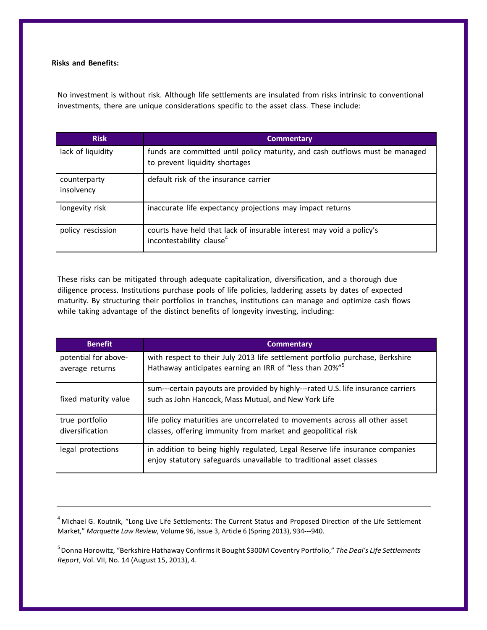# **Risks and Benefits:**

No investment is without risk. Although life settlements are insulated from risks intrinsic to conventional investments, there are unique considerations specific to the asset class. These include:

| <b>Risk</b>                | <b>Commentary</b>                                                                                              |
|----------------------------|----------------------------------------------------------------------------------------------------------------|
| lack of liquidity          | funds are committed until policy maturity, and cash outflows must be managed<br>to prevent liquidity shortages |
| counterparty<br>insolvency | default risk of the insurance carrier                                                                          |
| longevity risk             | inaccurate life expectancy projections may impact returns                                                      |
| policy rescission          | courts have held that lack of insurable interest may void a policy's<br>incontestability clause <sup>4</sup>   |

These risks can be mitigated through adequate capitalization, diversification, and a thorough due diligence process. Institutions purchase pools of life policies, laddering assets by dates of expected maturity. By structuring their portfolios in tranches, institutions can manage and optimize cash flows while taking advantage of the distinct benefits of longevity investing, including:

| <b>Benefit</b>                          | <b>Commentary</b>                                                                                                                                    |
|-----------------------------------------|------------------------------------------------------------------------------------------------------------------------------------------------------|
| potential for above-<br>average returns | with respect to their July 2013 life settlement portfolio purchase, Berkshire<br>Hathaway anticipates earning an IRR of "less than 20%" <sup>5</sup> |
| fixed maturity value                    | sum---certain payouts are provided by highly---rated U.S. life insurance carriers<br>such as John Hancock, Mass Mutual, and New York Life            |
| true portfolio<br>diversification       | life policy maturities are uncorrelated to movements across all other asset<br>classes, offering immunity from market and geopolitical risk          |
| legal protections                       | in addition to being highly regulated, Legal Reserve life insurance companies<br>enjoy statutory safeguards unavailable to traditional asset classes |

<sup>4</sup> Michael G. Koutnik, "Long Live Life Settlements: The Current Status and Proposed Direction of the Life Settlement Market," Marquette Law Review, Volume 96, Issue 3, Article 6 (Spring 2013), 934---940.

5 Donna Horowitz, "Berkshire Hathaway Confirmsit Bought \$300M Coventry Portfolio," *The Deal's Life Settlements Report*, Vol. VII, No. 14 (August 15, 2013), 4.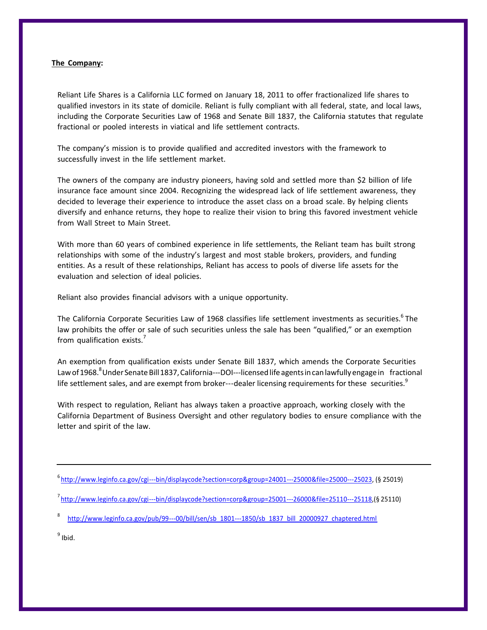#### **The Company:**

Reliant Life Shares is a California LLC formed on January 18, 2011 to offer fractionalized life shares to qualified investors in its state of domicile. Reliant is fully compliant with all federal, state, and local laws, including the Corporate Securities Law of 1968 and Senate Bill 1837, the California statutes that regulate fractional or pooled interests in viatical and life settlement contracts.

The company's mission is to provide qualified and accredited investors with the framework to successfully invest in the life settlement market.

The owners of the company are industry pioneers, having sold and settled more than \$2 billion of life insurance face amount since 2004. Recognizing the widespread lack of life settlement awareness, they decided to leverage their experience to introduce the asset class on a broad scale. By helping clients diversify and enhance returns, they hope to realize their vision to bring this favored investment vehicle from Wall Street to Main Street.

With more than 60 years of combined experience in life settlements, the Reliant team has built strong relationships with some of the industry's largest and most stable brokers, providers, and funding entities. As a result of these relationships, Reliant has access to pools of diverse life assets for the evaluation and selection of ideal policies.

Reliant also provides financial advisors with a unique opportunity.

The California Corporate Securities Law of 1968 classifies life settlement investments as securities.<sup>6</sup> The law prohibits the offer or sale of such securities unless the sale has been "qualified," or an exemption from qualification exists.

An exemption from qualification exists under Senate Bill 1837, which amends the Corporate Securities Law of 1968.<sup>8</sup> Under Senate Bill 1837, California---DOI---licensed life agents in can lawfully engage in fractional life settlement sales, and are exempt from broker---dealer licensing requirements for these securities.<sup>9</sup>

With respect to regulation, Reliant has always taken a proactive approach, working closely with the California Department of Business Oversight and other regulatory bodies to ensure compliance with the letter and spirit of the law.

<sup>9</sup> Ibid.

<sup>&</sup>lt;sup>6</sup><http://www.leginfo.ca.gov/cgi->--bin/displaycode?section=corp&group=24001---25000&file=25000---25023, (§ 25019)

<sup>&</sup>lt;sup>7</sup><http://www.leginfo.ca.gov/cgi->--bin/displaycode?section=corp&group=25001---26000&file=25110---25118,(§ 25110)

<http://www.leginfo.ca.gov/pub/99->--00/bill/sen/sb\_1801---1850/sb\_1837\_bill\_20000927\_chaptered.html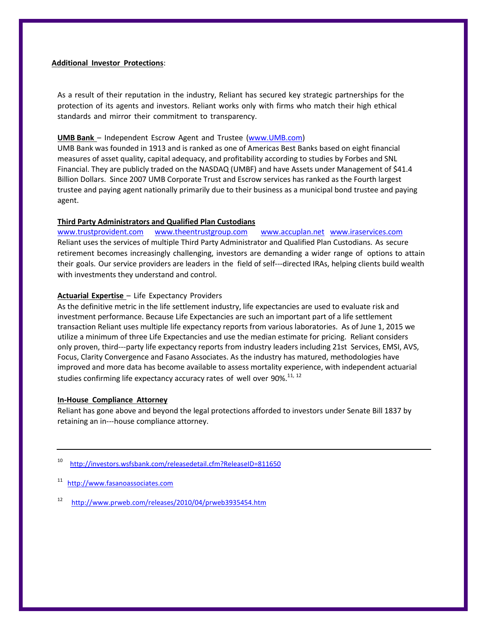## **Additional Investor Protections**:

As a result of their reputation in the industry, Reliant has secured key strategic partnerships for the protection of its agents and investors. Reliant works only with firms who match their high ethical standards and mirror their commitment to transparency.

# **UMB Bank** – Independent Escrow Agent and Trustee (www.UMB.com)

UMB Bank was founded in 1913 and is ranked as one of Americas Best Banks based on eight financial measures of asset quality, capital adequacy, and profitability according to studies by Forbes and SNL Financial. They are publicly traded on the NASDAQ (UMBF) and have Assets under Management of \$41.4 Billion Dollars. Since 2007 UMB Corporate Trust and Escrow services has ranked as the Fourth largest trustee and paying agent nationally primarily due to their business as a municipal bond trustee and paying agent.

# **Third Party Administrators and Qualified Plan Custodians**

[www.trustprovident.com](http://www.trustprovident.com/) [www.theentrustgroup.com](http://www.theentrustgroup.com/) [www.accuplan.net](http://www.accuplan.net/) [www.iraservices.com](http://www.iraservices.com/) Reliant uses the services of multiple Third Party Administrator and Qualified Plan Custodians. As secure retirement becomes increasingly challenging, investors are demanding a wider range of options to attain their goals. Our service providers are leaders in the field of self---directed IRAs, helping clients build wealth with investments they understand and control.

## **Actuarial Expertise** – Life Expectancy Providers

As the definitive metric in the life settlement industry, life expectancies are used to evaluate risk and investment performance. Because Life Expectancies are such an important part of a life settlement transaction Reliant uses multiple life expectancy reports from various laboratories. As of June 1, 2015 we utilize a minimum of three Life Expectancies and use the median estimate for pricing. Reliant considers only proven, third---party life expectancy reports from industry leaders including 21st Services, EMSI, AVS, Focus, Clarity Convergence and Fasano Associates. As the industry has matured, methodologies have improved and more data has become available to assess mortality experience, with independent actuarial studies confirming life expectancy accuracy rates of well over 90%.<sup>11, 12</sup>

#### **In-House Compliance Attorney**

Reliant has gone above and beyond the legal protections afforded to investors under Senate Bill 1837 by retaining an in---house compliance attorney.

10 <http://investors.wsfsbank.com/releasedetail.cfm?ReleaseID=811650>

[http://www.fasanoassociates.com](http://www.fasanoassociates.com/)

12 <http://www.prweb.com/releases/2010/04/prweb3935454.htm>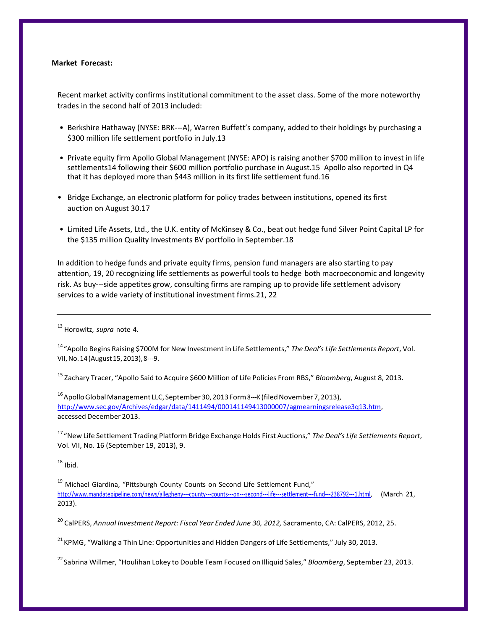#### **Market Forecast:**

Recent market activity confirms institutional commitment to the asset class. Some of the more noteworthy trades in the second half of 2013 included:

- Berkshire Hathaway (NYSE: BRK---A), Warren Buffett's company, added to their holdings by purchasing a \$300 million life settlement portfolio in July.13
- Private equity firm Apollo Global Management (NYSE: APO) is raising another \$700 million to invest in life settlements14 following their \$600 million portfolio purchase in August.15 Apollo also reported in Q4 that it has deployed more than \$443 million in its first life settlement fund.16
- Bridge Exchange, an electronic platform for policy trades between institutions, opened its first auction on August 30.17
- Limited Life Assets, Ltd., the U.K. entity of McKinsey & Co., beat out hedge fund Silver Point Capital LP for the \$135 million Quality Investments BV portfolio in September.18

In addition to hedge funds and private equity firms, pension fund managers are also starting to pay attention, 19, 20 recognizing life settlements as powerful tools to hedge both macroeconomic and longevity risk. As buy---side appetites grow, consulting firms are ramping up to provide life settlement advisory services to a wide variety of institutional investment firms.21, 22

<sup>13</sup> Horowitz, *supra* note 4.

<sup>14</sup> "Apollo Begins Raising \$700M for New Investment in Life Settlements," *The Deal's Life Settlements Report*, Vol. VII, No. 14 (August 15, 2013), 8---9.

<sup>15</sup> Zachary Tracer, "Apollo Said to Acquire \$600 Million of Life Policies From RBS," *Bloomberg*, August 8, 2013.

<sup>16</sup> Apollo Global Management LLC, September 30, 2013 Form 8---K (filed November 7, 2013), [http://www.sec.gov/Archives/edgar/data/1411494/000141149413000007/agmearningsrelease3q13.htm,](http://www.sec.gov/Archives/edgar/data/1411494/000141149413000007/agmearningsrelease3q13.htm) accessed December 2013.

<sup>17</sup> "New Life Settlement Trading Platform Bridge Exchange Holds First Auctions," *The Deal's Life Settlements Report*, Vol. VII, No. 16 (September 19, 2013), 9.

 $18$  Ibid.

<sup>19</sup> Michael Giardina, "Pittsburgh County Counts on Second Life Settlement Fund," <http://www.mandatepipeline.com/news/allegheny->--county---counts---on---second---life---settlement---fund---238792---1.html, (March 21, 2013).

<sup>20</sup> CalPERS, *Annual Investment Report: Fiscal Year Ended June 30, 2012,* Sacramento, CA: CalPERS, 2012, 25.

<sup>21</sup> KPMG, "Walking a Thin Line: Opportunities and Hidden Dangers of Life Settlements," July 30, 2013.

<sup>22</sup> Sabrina Willmer, "Houlihan Lokey to Double Team Focused on Illiquid Sales," *Bloomberg*, September 23, 2013.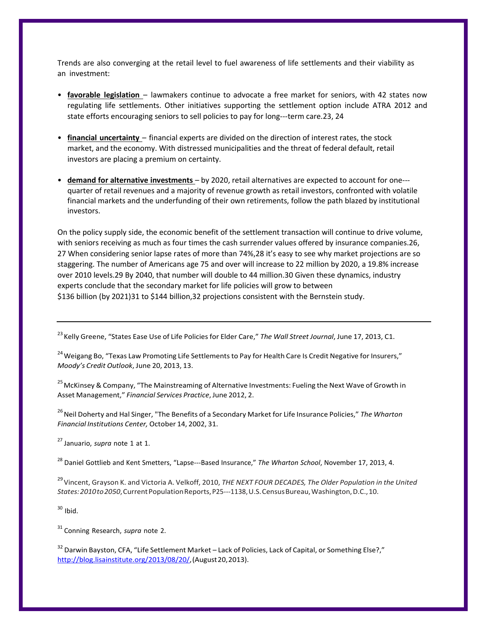Trends are also converging at the retail level to fuel awareness of life settlements and their viability as an investment:

- **favorable legislation** lawmakers continue to advocate a free market for seniors, with 42 states now regulating life settlements. Other initiatives supporting the settlement option include ATRA 2012 and state efforts encouraging seniors to sell policies to pay for long---term care.23, 24
- **financial uncertainty** financial experts are divided on the direction of interest rates, the stock market, and the economy. With distressed municipalities and the threat of federal default, retail investors are placing a premium on certainty.
- **demand for alternative investments** by 2020, retail alternatives are expected to account for one quarter of retail revenues and a majority of revenue growth as retail investors, confronted with volatile financial markets and the underfunding of their own retirements, follow the path blazed by institutional investors.

On the policy supply side, the economic benefit of the settlement transaction will continue to drive volume, with seniors receiving as much as four times the cash surrender values offered by insurance companies.26, 27 When considering senior lapse rates of more than 74%,28 it's easy to see why market projections are so staggering. The number of Americans age 75 and over will increase to 22 million by 2020, a 19.8% increase over 2010 levels.29 By 2040, that number will double to 44 million.30 Given these dynamics, industry experts conclude that the secondary market for life policies will grow to between \$136 billion (by 2021)31 to \$144 billion,32 projections consistent with the Bernstein study.

<sup>23</sup> Kelly Greene, "States Ease Use of Life Policies for Elder Care," The Wall Street Journal, June 17, 2013, C1.

<sup>24</sup> Weigang Bo, "Texas Law Promoting Life Settlements to Pay for Health Care Is Credit Negative for Insurers," *Moody's Credit Outlook*, June 20, 2013, 13.

<sup>25</sup> McKinsey & Company, "The Mainstreaming of Alternative Investments: Fueling the Next Wave of Growth in Asset Management," *Financial Services Practice*, June 2012, 2.

<sup>26</sup> Neil Doherty and Hal Singer, "The Benefits of a Secondary Market for Life Insurance Policies," The Wharton *Financial Institutions Center,* October 14, 2002, 31.

<sup>27</sup> Januario, *supra* note 1 at 1.

<sup>28</sup> Daniel Gottlieb and Kent Smetters, "Lapse---Based Insurance," The Wharton School, November 17, 2013, 4.

<sup>29</sup>Vincent, Grayson K. and Victoria A. Velkoff, 2010, *THE NEXT FOUR DECADES, The Older Population in the United States:2010to2050*,CurrentPopulationReports,P25-1138,U.S.CensusBureau,Washington,D.C.,10.

 $30$  Ibid.

<sup>31</sup> Conning Research, *supra* note 2.

<sup>32</sup> Darwin Bayston, CFA, "Life Settlement Market – Lack of Policies, Lack of Capital, or Something Else?," [http://blog.lisainstitute.org/2013/08/20/,\(](http://blog.lisainstitute.org/2013/08/20/)August20,2013).